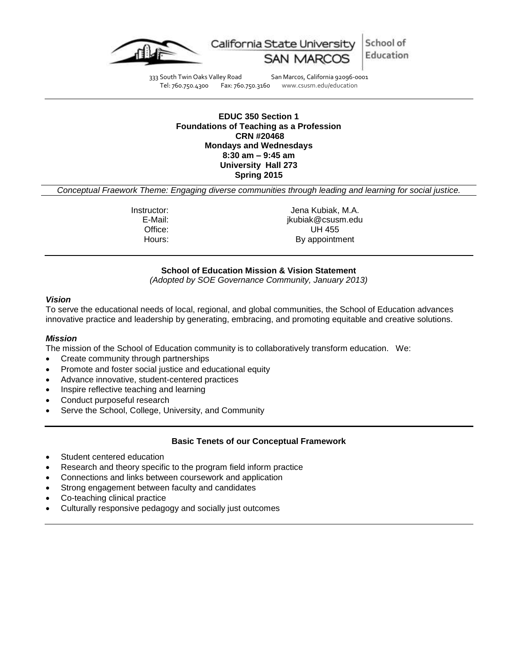

School of California State University Education

333 South Twin Oaks Valley Road San Marcos, California 92096-0001<br>Tel: 760.750.4300 Fax: 760.750.3160 www.csusm.edu/education www.csusm.edu/education

# **EDUC 350 Section 1 Foundations of Teaching as a Profession CRN #20468 Mondays and Wednesdays 8:30 am – 9:45 am University Hall 273 Spring 2015**

*Conceptual Fraework Theme: Engaging diverse communities through leading and learning for social justice.*

Instructor: Jena Kubiak, M.A. E-Mail: jkubiak@csusm.edu Office: UH 455 Hours: By appointment

## **School of Education Mission & Vision Statement**

*(Adopted by SOE Governance Community, January 2013)*

#### *Vision*

To serve the educational needs of local, regional, and global communities, the School of Education advances innovative practice and leadership by generating, embracing, and promoting equitable and creative solutions.

#### *Mission*

The mission of the School of Education community is to collaboratively transform education. We:

- Create community through partnerships
- Promote and foster social justice and educational equity
- Advance innovative, student-centered practices
- Inspire reflective teaching and learning
- Conduct purposeful research
- Serve the School, College, University, and Community

## **Basic Tenets of our Conceptual Framework**

- Student centered education
- Research and theory specific to the program field inform practice
- Connections and links between coursework and application
- Strong engagement between faculty and candidates
- Co-teaching clinical practice
- Culturally responsive pedagogy and socially just outcomes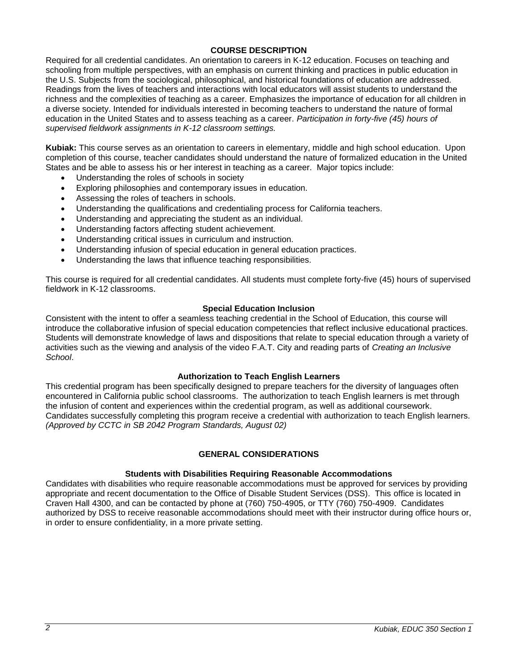# **COURSE DESCRIPTION**

Required for all credential candidates. An orientation to careers in K-12 education. Focuses on teaching and schooling from multiple perspectives, with an emphasis on current thinking and practices in public education in the U.S. Subjects from the sociological, philosophical, and historical foundations of education are addressed. Readings from the lives of teachers and interactions with local educators will assist students to understand the richness and the complexities of teaching as a career. Emphasizes the importance of education for all children in a diverse society. Intended for individuals interested in becoming teachers to understand the nature of formal education in the United States and to assess teaching as a career. *Participation in forty-five (45) hours of supervised fieldwork assignments in K-12 classroom settings.*

**Kubiak:** This course serves as an orientation to careers in elementary, middle and high school education. Upon completion of this course, teacher candidates should understand the nature of formalized education in the United States and be able to assess his or her interest in teaching as a career. Major topics include:

- Understanding the roles of schools in society
- Exploring philosophies and contemporary issues in education.
- Assessing the roles of teachers in schools.
- Understanding the qualifications and credentialing process for California teachers.
- Understanding and appreciating the student as an individual.
- Understanding factors affecting student achievement.
- Understanding critical issues in curriculum and instruction.
- Understanding infusion of special education in general education practices.
- Understanding the laws that influence teaching responsibilities.

This course is required for all credential candidates. All students must complete forty-five (45) hours of supervised fieldwork in K-12 classrooms.

# **Special Education Inclusion**

Consistent with the intent to offer a seamless teaching credential in the School of Education, this course will introduce the collaborative infusion of special education competencies that reflect inclusive educational practices. Students will demonstrate knowledge of laws and dispositions that relate to special education through a variety of activities such as the viewing and analysis of the video F.A.T. City and reading parts of *Creating an Inclusive School*.

## **Authorization to Teach English Learners**

This credential program has been specifically designed to prepare teachers for the diversity of languages often encountered in California public school classrooms. The authorization to teach English learners is met through the infusion of content and experiences within the credential program, as well as additional coursework. Candidates successfully completing this program receive a credential with authorization to teach English learners. *(Approved by CCTC in SB 2042 Program Standards, August 02)*

# **GENERAL CONSIDERATIONS**

## **Students with Disabilities Requiring Reasonable Accommodations**

Candidates with disabilities who require reasonable accommodations must be approved for services by providing appropriate and recent documentation to the Office of Disable Student Services (DSS). This office is located in Craven Hall 4300, and can be contacted by phone at (760) 750-4905, or TTY (760) 750-4909. Candidates authorized by DSS to receive reasonable accommodations should meet with their instructor during office hours or, in order to ensure confidentiality, in a more private setting.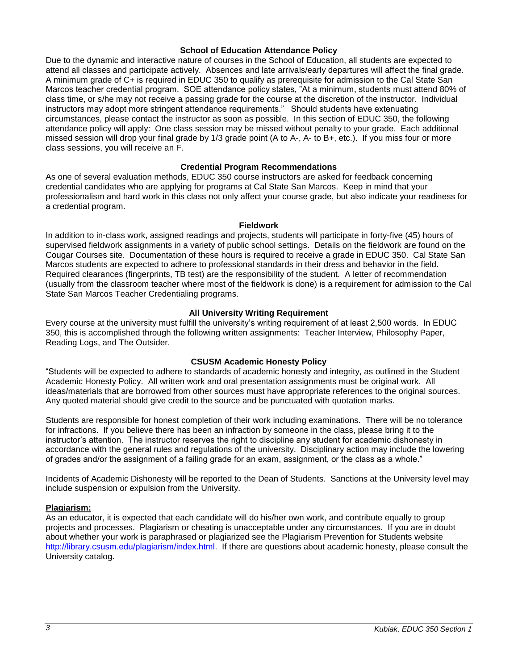#### **School of Education Attendance Policy**

Due to the dynamic and interactive nature of courses in the School of Education, all students are expected to attend all classes and participate actively. Absences and late arrivals/early departures will affect the final grade. A minimum grade of C+ is required in EDUC 350 to qualify as prerequisite for admission to the Cal State San Marcos teacher credential program. SOE attendance policy states, "At a minimum, students must attend 80% of class time, or s/he may not receive a passing grade for the course at the discretion of the instructor. Individual instructors may adopt more stringent attendance requirements." Should students have extenuating circumstances, please contact the instructor as soon as possible. In this section of EDUC 350, the following attendance policy will apply: One class session may be missed without penalty to your grade. Each additional missed session will drop your final grade by 1/3 grade point (A to A-, A- to B+, etc.). If you miss four or more class sessions, you will receive an F.

# **Credential Program Recommendations**

As one of several evaluation methods, EDUC 350 course instructors are asked for feedback concerning credential candidates who are applying for programs at Cal State San Marcos. Keep in mind that your professionalism and hard work in this class not only affect your course grade, but also indicate your readiness for a credential program.

#### **Fieldwork**

In addition to in-class work, assigned readings and projects, students will participate in forty-five (45) hours of supervised fieldwork assignments in a variety of public school settings. Details on the fieldwork are found on the Cougar Courses site. Documentation of these hours is required to receive a grade in EDUC 350. Cal State San Marcos students are expected to adhere to professional standards in their dress and behavior in the field. Required clearances (fingerprints, TB test) are the responsibility of the student. A letter of recommendation (usually from the classroom teacher where most of the fieldwork is done) is a requirement for admission to the Cal State San Marcos Teacher Credentialing programs.

## **All University Writing Requirement**

Every course at the university must fulfill the university's writing requirement of at least 2,500 words. In EDUC 350, this is accomplished through the following written assignments: Teacher Interview, Philosophy Paper, Reading Logs, and The Outsider.

## **CSUSM Academic Honesty Policy**

"Students will be expected to adhere to standards of academic honesty and integrity, as outlined in the Student Academic Honesty Policy. All written work and oral presentation assignments must be original work. All ideas/materials that are borrowed from other sources must have appropriate references to the original sources. Any quoted material should give credit to the source and be punctuated with quotation marks.

Students are responsible for honest completion of their work including examinations. There will be no tolerance for infractions. If you believe there has been an infraction by someone in the class, please bring it to the instructor's attention. The instructor reserves the right to discipline any student for academic dishonesty in accordance with the general rules and regulations of the university. Disciplinary action may include the lowering of grades and/or the assignment of a failing grade for an exam, assignment, or the class as a whole."

Incidents of Academic Dishonesty will be reported to the Dean of Students. Sanctions at the University level may include suspension or expulsion from the University.

## **Plagiarism:**

As an educator, it is expected that each candidate will do his/her own work, and contribute equally to group projects and processes. Plagiarism or cheating is unacceptable under any circumstances. If you are in doubt about whether your work is paraphrased or plagiarized see the Plagiarism Prevention for Students website [http://library.csusm.edu/plagiarism/index.html.](http://library.csusm.edu/plagiarism/index.html) If there are questions about academic honesty, please consult the University catalog.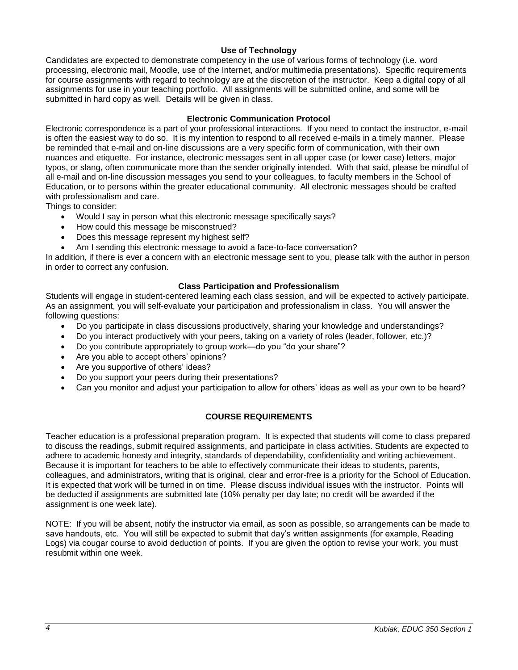# **Use of Technology**

Candidates are expected to demonstrate competency in the use of various forms of technology (i.e. word processing, electronic mail, Moodle, use of the Internet, and/or multimedia presentations). Specific requirements for course assignments with regard to technology are at the discretion of the instructor. Keep a digital copy of all assignments for use in your teaching portfolio. All assignments will be submitted online, and some will be submitted in hard copy as well. Details will be given in class.

# **Electronic Communication Protocol**

Electronic correspondence is a part of your professional interactions. If you need to contact the instructor, e-mail is often the easiest way to do so. It is my intention to respond to all received e-mails in a timely manner. Please be reminded that e-mail and on-line discussions are a very specific form of communication, with their own nuances and etiquette. For instance, electronic messages sent in all upper case (or lower case) letters, major typos, or slang, often communicate more than the sender originally intended. With that said, please be mindful of all e-mail and on-line discussion messages you send to your colleagues, to faculty members in the School of Education, or to persons within the greater educational community. All electronic messages should be crafted with professionalism and care.

Things to consider:

- Would I say in person what this electronic message specifically says?
- How could this message be misconstrued?
- Does this message represent my highest self?
- Am I sending this electronic message to avoid a face-to-face conversation?

In addition, if there is ever a concern with an electronic message sent to you, please talk with the author in person in order to correct any confusion.

# **Class Participation and Professionalism**

Students will engage in student-centered learning each class session, and will be expected to actively participate. As an assignment, you will self-evaluate your participation and professionalism in class. You will answer the following questions:

- Do you participate in class discussions productively, sharing your knowledge and understandings?
- Do you interact productively with your peers, taking on a variety of roles (leader, follower, etc.)?
- Do you contribute appropriately to group work—do you "do your share"?
- Are you able to accept others' opinions?
- Are you supportive of others' ideas?
- Do you support your peers during their presentations?
- Can you monitor and adjust your participation to allow for others' ideas as well as your own to be heard?

# **COURSE REQUIREMENTS**

Teacher education is a professional preparation program. It is expected that students will come to class prepared to discuss the readings, submit required assignments, and participate in class activities. Students are expected to adhere to academic honesty and integrity, standards of dependability, confidentiality and writing achievement. Because it is important for teachers to be able to effectively communicate their ideas to students, parents, colleagues, and administrators, writing that is original, clear and error-free is a priority for the School of Education. It is expected that work will be turned in on time. Please discuss individual issues with the instructor. Points will be deducted if assignments are submitted late (10% penalty per day late; no credit will be awarded if the assignment is one week late).

NOTE: If you will be absent, notify the instructor via email, as soon as possible, so arrangements can be made to save handouts, etc. You will still be expected to submit that day's written assignments (for example, Reading Logs) via cougar course to avoid deduction of points. If you are given the option to revise your work, you must resubmit within one week.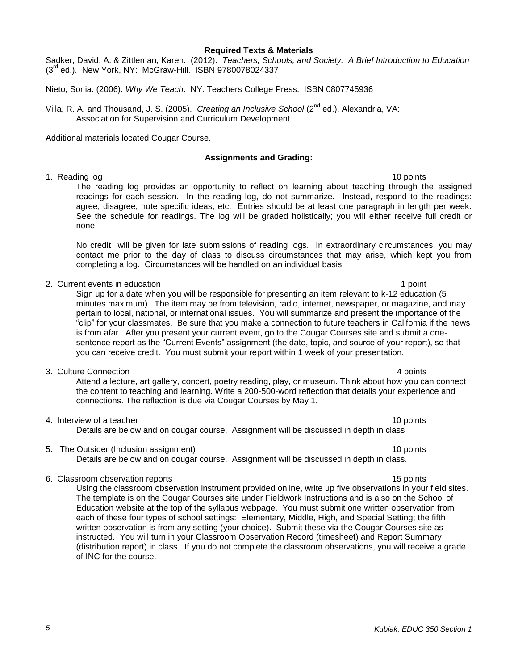# **Required Texts & Materials**

Sadker, David. A. & Zittleman, Karen. (2012). *Teachers, Schools, and Society: A Brief Introduction to Education* (3rd ed.). New York, NY: McGraw-Hill. ISBN 9780078024337

Nieto, Sonia. (2006). *Why We Teach*. NY: Teachers College Press. ISBN 0807745936

Villa, R. A. and Thousand, J. S. (2005). *Creating an Inclusive School* (2nd ed.). Alexandria, VA: Association for Supervision and Curriculum Development.

Additional materials located Cougar Course.

# **Assignments and Grading:**

1. Reading log 10 points and the set of the set of the set of the set of the set of the set of the set of the set of the set of the set of the set of the set of the set of the set of the set of the set of the set of the se The reading log provides an opportunity to reflect on learning about teaching through the assigned readings for each session. In the reading log, do not summarize. Instead, respond to the readings: agree, disagree, note specific ideas, etc. Entries should be at least one paragraph in length per week. See the schedule for readings. The log will be graded holistically; you will either receive full credit or none.

No credit will be given for late submissions of reading logs. In extraordinary circumstances, you may contact me prior to the day of class to discuss circumstances that may arise, which kept you from completing a log. Circumstances will be handled on an individual basis.

2. Current events in education 1 point 1 point 1 point 1 point 1 point 1 point 1 point

Sign up for a date when you will be responsible for presenting an item relevant to k-12 education (5 minutes maximum). The item may be from television, radio, internet, newspaper, or magazine, and may pertain to local, national, or international issues. You will summarize and present the importance of the "clip" for your classmates. Be sure that you make a connection to future teachers in California if the news is from afar. After you present your current event, go to the Cougar Courses site and submit a onesentence report as the "Current Events" assignment (the date, topic, and source of your report), so that you can receive credit. You must submit your report within 1 week of your presentation.

3. Culture Connection 4 points

Attend a lecture, art gallery, concert, poetry reading, play, or museum. Think about how you can connect the content to teaching and learning. Write a 200-500-word reflection that details your experience and connections. The reflection is due via Cougar Courses by May 1.

4. Interview of a teacher 10 points and the set of the set of the set of the set of the set of the set of the set of the set of the set of the set of the set of the set of the set of the set of the set of the set of the se

Details are below and on cougar course. Assignment will be discussed in depth in class

5. The Outsider (Inclusion assignment) 10 points 10 points Details are below and on cougar course. Assignment will be discussed in depth in class.

# 6. Classroom observation reports 15 points 15 points 15 points 15 points 15 points 15 points 15 points 15 points 15 points 15 points 15 points 15 points 15 points 15 points 15 points 15 points 15 points 15 points 15 points

Using the classroom observation instrument provided online, write up five observations in your field sites. The template is on the Cougar Courses site under Fieldwork Instructions and is also on the School of Education website at the top of the syllabus webpage. You must submit one written observation from each of these four types of school settings: Elementary, Middle, High, and Special Setting; the fifth written observation is from any setting (your choice). Submit these via the Cougar Courses site as instructed. You will turn in your Classroom Observation Record (timesheet) and Report Summary (distribution report) in class. If you do not complete the classroom observations, you will receive a grade of INC for the course.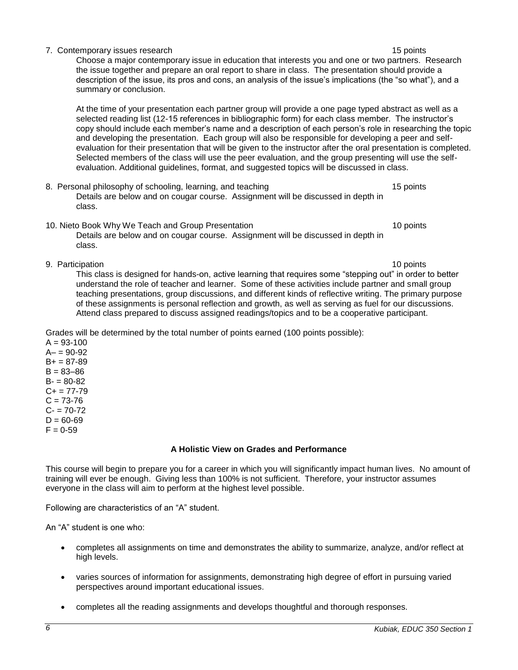| This course will begin to prepare you for a career in which you will significantly impact human lives. No amount of<br>training will ever be enough. Giving less than 100% is not sufficient. Therefore, your instructor assumes<br>everyone in the class will aim to perform at the highest level possible. |  |
|--------------------------------------------------------------------------------------------------------------------------------------------------------------------------------------------------------------------------------------------------------------------------------------------------------------|--|
| Following are characteristics of an "A" student.                                                                                                                                                                                                                                                             |  |
| An "A" student is one who:                                                                                                                                                                                                                                                                                   |  |

- completes all assignments on time and demonstrates the ability to summarize, analyze, and/or reflect at high levels.
- varies sources of information for assignments, demonstrating high degree of effort in pursuing varied perspectives around important educational issues.
- completes all the reading assignments and develops thoughtful and thorough responses.

7. Contemporary issues research 15 points and the state of the state of the state of the state of the state of the state of the state of the state of the state of the state of the state of the state of the state of the sta Choose a major contemporary issue in education that interests you and one or two partners. Research the issue together and prepare an oral report to share in class. The presentation should provide a description of the issue, its pros and cons, an analysis of the issue's implications (the "so what"), and a summary or conclusion.

At the time of your presentation each partner group will provide a one page typed abstract as well as a selected reading list (12-15 references in bibliographic form) for each class member. The instructor's copy should include each member's name and a description of each person's role in researching the topic and developing the presentation. Each group will also be responsible for developing a peer and selfevaluation for their presentation that will be given to the instructor after the oral presentation is completed. Selected members of the class will use the peer evaluation, and the group presenting will use the selfevaluation. Additional guidelines, format, and suggested topics will be discussed in class.

- 8. Personal philosophy of schooling, learning, and teaching 15 points 15 points Details are below and on cougar course. Assignment will be discussed in depth in class.
- 10. Nieto Book Why We Teach and Group Presentation 10 points Details are below and on cougar course. Assignment will be discussed in depth in class.
- 

9. Participation 10 points and 10 points and 10 points are the control of the control of the control of the control of the control of the control of the control of the control of the control of the control of the control o This class is designed for hands-on, active learning that requires some "stepping out" in order to better understand the role of teacher and learner. Some of these activities include partner and small group teaching presentations, group discussions, and different kinds of reflective writing. The primary purpose of these assignments is personal reflection and growth, as well as serving as fuel for our discussions. Attend class prepared to discuss assigned readings/topics and to be a cooperative participant.

Grades will be determined by the total number of points earned (100 points possible):

 $A = 93 - 100$  $A - 90 - 92$  $B+ = 87-89$  $B = 83 - 86$  $B - 80 - 82$  $C+= 77-79$  $C = 73 - 76$  $C - 70 - 72$  $D = 60 - 69$  $F = 0.59$ 

# **A Holistic View on Grades and Performance**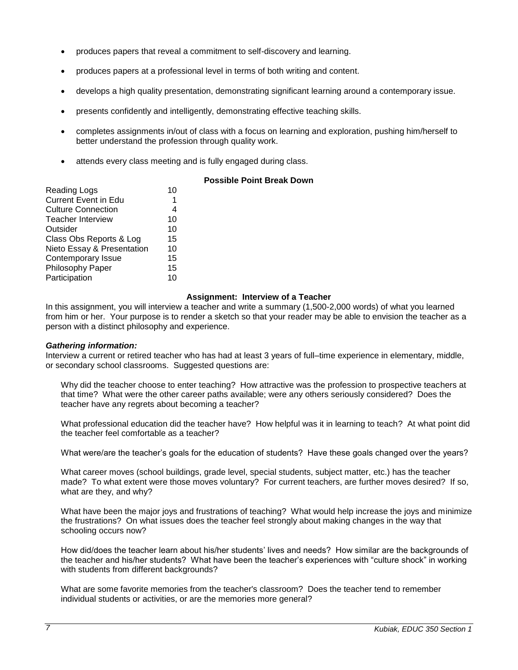- produces papers that reveal a commitment to self-discovery and learning.
- produces papers at a professional level in terms of both writing and content.
- develops a high quality presentation, demonstrating significant learning around a contemporary issue.
- presents confidently and intelligently, demonstrating effective teaching skills.
- completes assignments in/out of class with a focus on learning and exploration, pushing him/herself to better understand the profession through quality work.
- attends every class meeting and is fully engaged during class.

| <b>Possible Point Break Down</b> |  |
|----------------------------------|--|
|----------------------------------|--|

| <b>Reading Logs</b>         | 10 |
|-----------------------------|----|
| <b>Current Event in Edu</b> | 1  |
| <b>Culture Connection</b>   | 4  |
| <b>Teacher Interview</b>    | 10 |
| Outsider                    | 10 |
| Class Obs Reports & Log     | 15 |
| Nieto Essay & Presentation  | 10 |
| Contemporary Issue          | 15 |
| Philosophy Paper            | 15 |
| Participation               | 10 |
|                             |    |

# **Assignment: Interview of a Teacher**

In this assignment, you will interview a teacher and write a summary (1,500-2,000 words) of what you learned from him or her. Your purpose is to render a sketch so that your reader may be able to envision the teacher as a person with a distinct philosophy and experience.

## *Gathering information:*

Interview a current or retired teacher who has had at least 3 years of full–time experience in elementary, middle, or secondary school classrooms. Suggested questions are:

Why did the teacher choose to enter teaching? How attractive was the profession to prospective teachers at that time? What were the other career paths available; were any others seriously considered? Does the teacher have any regrets about becoming a teacher?

What professional education did the teacher have? How helpful was it in learning to teach? At what point did the teacher feel comfortable as a teacher?

What were/are the teacher's goals for the education of students? Have these goals changed over the years?

What career moves (school buildings, grade level, special students, subject matter, etc.) has the teacher made? To what extent were those moves voluntary? For current teachers, are further moves desired? If so, what are they, and why?

What have been the major joys and frustrations of teaching? What would help increase the joys and minimize the frustrations? On what issues does the teacher feel strongly about making changes in the way that schooling occurs now?

How did/does the teacher learn about his/her students' lives and needs? How similar are the backgrounds of the teacher and his/her students? What have been the teacher's experiences with "culture shock" in working with students from different backgrounds?

What are some favorite memories from the teacher's classroom? Does the teacher tend to remember individual students or activities, or are the memories more general?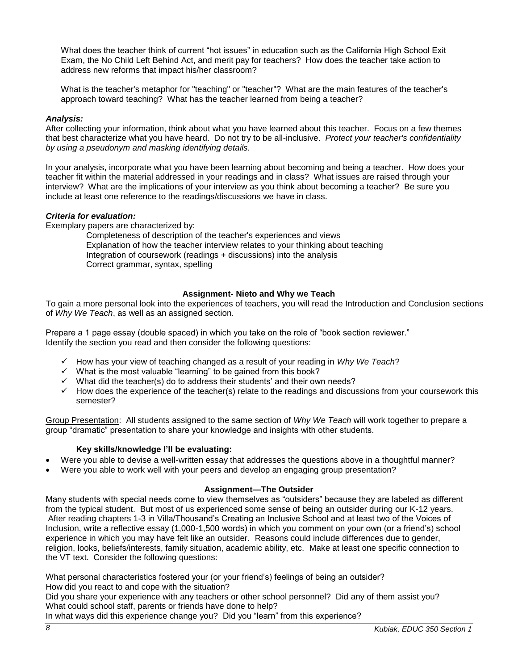What does the teacher think of current "hot issues" in education such as the California High School Exit Exam, the No Child Left Behind Act, and merit pay for teachers? How does the teacher take action to address new reforms that impact his/her classroom?

What is the teacher's metaphor for "teaching" or "teacher"? What are the main features of the teacher's approach toward teaching? What has the teacher learned from being a teacher?

# *Analysis:*

After collecting your information, think about what you have learned about this teacher. Focus on a few themes that best characterize what you have heard. Do not try to be all-inclusive. *Protect your teacher's confidentiality by using a pseudonym and masking identifying details.*

In your analysis, incorporate what you have been learning about becoming and being a teacher. How does your teacher fit within the material addressed in your readings and in class? What issues are raised through your interview? What are the implications of your interview as you think about becoming a teacher? Be sure you include at least one reference to the readings/discussions we have in class.

# *Criteria for evaluation:*

Exemplary papers are characterized by:

Completeness of description of the teacher's experiences and views Explanation of how the teacher interview relates to your thinking about teaching Integration of coursework (readings + discussions) into the analysis Correct grammar, syntax, spelling

# **Assignment- Nieto and Why we Teach**

To gain a more personal look into the experiences of teachers, you will read the Introduction and Conclusion sections of *Why We Teach*, as well as an assigned section.

Prepare a 1 page essay (double spaced) in which you take on the role of "book section reviewer." Identify the section you read and then consider the following questions:

- How has your view of teaching changed as a result of your reading in *Why We Teach*?
- $\checkmark$  What is the most valuable "learning" to be gained from this book?
- $\checkmark$  What did the teacher(s) do to address their students' and their own needs?
- $\checkmark$  How does the experience of the teacher(s) relate to the readings and discussions from your coursework this semester?

Group Presentation: All students assigned to the same section of *Why We Teach* will work together to prepare a group "dramatic" presentation to share your knowledge and insights with other students.

# **Key skills/knowledge I'll be evaluating:**

- Were you able to devise a well-written essay that addresses the questions above in a thoughtful manner?
- Were you able to work well with your peers and develop an engaging group presentation?

# **Assignment—The Outsider**

Many students with special needs come to view themselves as "outsiders" because they are labeled as different from the typical student. But most of us experienced some sense of being an outsider during our K-12 years. After reading chapters 1-3 in Villa/Thousand's Creating an Inclusive School and at least two of the Voices of Inclusion, write a reflective essay (1,000-1,500 words) in which you comment on your own (or a friend's) school experience in which you may have felt like an outsider. Reasons could include differences due to gender, religion, looks, beliefs/interests, family situation, academic ability, etc. Make at least one specific connection to the VT text. Consider the following questions:

What personal characteristics fostered your (or your friend's) feelings of being an outsider? How did you react to and cope with the situation?

Did you share your experience with any teachers or other school personnel? Did any of them assist you? What could school staff, parents or friends have done to help?

In what ways did this experience change you? Did you "learn" from this experience?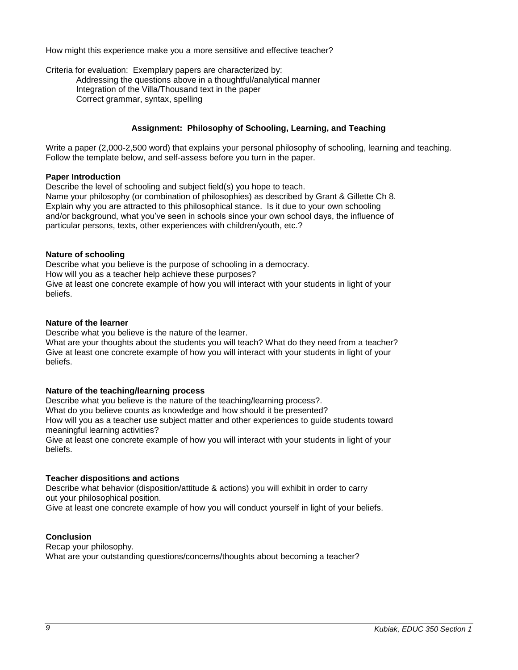How might this experience make you a more sensitive and effective teacher?

Criteria for evaluation: Exemplary papers are characterized by:

Addressing the questions above in a thoughtful/analytical manner Integration of the Villa/Thousand text in the paper Correct grammar, syntax, spelling

# **Assignment: Philosophy of Schooling, Learning, and Teaching**

Write a paper (2,000-2,500 word) that explains your personal philosophy of schooling, learning and teaching. Follow the template below, and self-assess before you turn in the paper.

## **Paper Introduction**

Describe the level of schooling and subject field(s) you hope to teach. Name your philosophy (or combination of philosophies) as described by Grant & Gillette Ch 8. Explain why you are attracted to this philosophical stance. Is it due to your own schooling and/or background, what you've seen in schools since your own school days, the influence of particular persons, texts, other experiences with children/youth, etc.?

# **Nature of schooling**

Describe what you believe is the purpose of schooling in a democracy. How will you as a teacher help achieve these purposes? Give at least one concrete example of how you will interact with your students in light of your beliefs.

## **Nature of the learner**

Describe what you believe is the nature of the learner.

What are your thoughts about the students you will teach? What do they need from a teacher? Give at least one concrete example of how you will interact with your students in light of your beliefs.

# **Nature of the teaching/learning process**

Describe what you believe is the nature of the teaching/learning process?. What do you believe counts as knowledge and how should it be presented? How will you as a teacher use subject matter and other experiences to guide students toward meaningful learning activities?

Give at least one concrete example of how you will interact with your students in light of your beliefs.

# **Teacher dispositions and actions**

Describe what behavior (disposition/attitude & actions) you will exhibit in order to carry out your philosophical position.

Give at least one concrete example of how you will conduct yourself in light of your beliefs.

# **Conclusion**

Recap your philosophy. What are your outstanding questions/concerns/thoughts about becoming a teacher?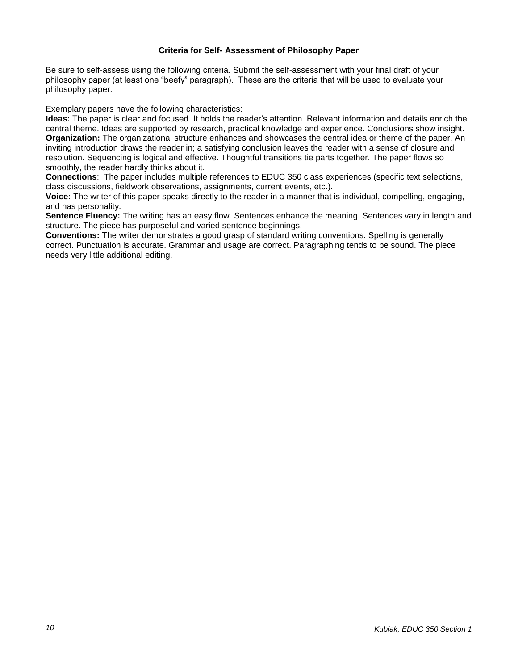# **Criteria for Self- Assessment of Philosophy Paper**

Be sure to self-assess using the following criteria. Submit the self-assessment with your final draft of your philosophy paper (at least one "beefy" paragraph). These are the criteria that will be used to evaluate your philosophy paper.

Exemplary papers have the following characteristics:

**Ideas:** The paper is clear and focused. It holds the reader's attention. Relevant information and details enrich the central theme. Ideas are supported by research, practical knowledge and experience. Conclusions show insight. **Organization:** The organizational structure enhances and showcases the central idea or theme of the paper. An inviting introduction draws the reader in; a satisfying conclusion leaves the reader with a sense of closure and resolution. Sequencing is logical and effective. Thoughtful transitions tie parts together. The paper flows so smoothly, the reader hardly thinks about it.

**Connections**: The paper includes multiple references to EDUC 350 class experiences (specific text selections, class discussions, fieldwork observations, assignments, current events, etc.).

**Voice:** The writer of this paper speaks directly to the reader in a manner that is individual, compelling, engaging, and has personality.

**Sentence Fluency:** The writing has an easy flow. Sentences enhance the meaning. Sentences vary in length and structure. The piece has purposeful and varied sentence beginnings.

**Conventions:** The writer demonstrates a good grasp of standard writing conventions. Spelling is generally correct. Punctuation is accurate. Grammar and usage are correct. Paragraphing tends to be sound. The piece needs very little additional editing.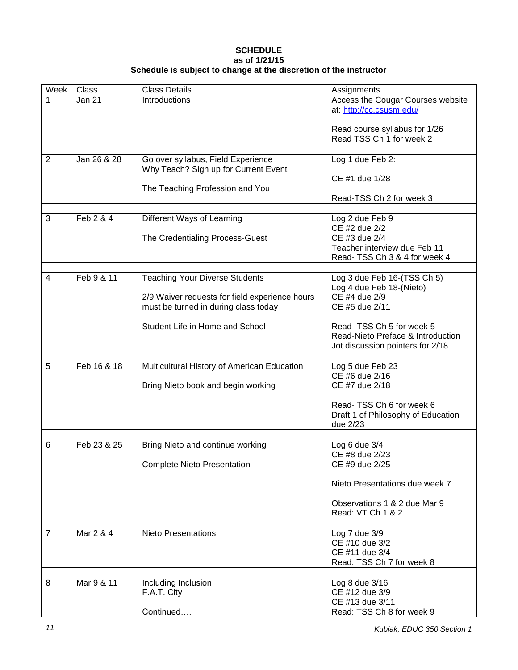# **SCHEDULE as of 1/21/15 Schedule is subject to change at the discretion of the instructor**

| Week           | Class       | <b>Class Details</b>                                                       | <b>Assignments</b>                                            |
|----------------|-------------|----------------------------------------------------------------------------|---------------------------------------------------------------|
|                | Jan 21      | Introductions                                                              | Access the Cougar Courses website<br>at: http://cc.csusm.edu/ |
|                |             |                                                                            | Read course syllabus for 1/26<br>Read TSS Ch 1 for week 2     |
|                |             |                                                                            |                                                               |
| $\overline{2}$ | Jan 26 & 28 | Go over syllabus, Field Experience<br>Why Teach? Sign up for Current Event | Log 1 due Feb 2:                                              |
|                |             | The Teaching Profession and You                                            | CE #1 due 1/28                                                |
|                |             |                                                                            | Read-TSS Ch 2 for week 3                                      |
| 3              | Feb 2 & 4   | Different Ways of Learning                                                 | Log 2 due Feb 9                                               |
|                |             |                                                                            | CE #2 due 2/2                                                 |
|                |             | The Credentialing Process-Guest                                            | CE #3 due 2/4                                                 |
|                |             |                                                                            | Teacher interview due Feb 11                                  |
|                |             |                                                                            | Read-TSS Ch 3 & 4 for week 4                                  |
| $\overline{4}$ | Feb 9 & 11  | <b>Teaching Your Diverse Students</b>                                      | Log 3 due Feb 16-(TSS Ch 5)                                   |
|                |             |                                                                            | Log 4 due Feb 18-(Nieto)                                      |
|                |             | 2/9 Waiver requests for field experience hours                             | CE #4 due 2/9                                                 |
|                |             | must be turned in during class today                                       | CE #5 due 2/11                                                |
|                |             | Student Life in Home and School                                            | Read-TSS Ch 5 for week 5                                      |
|                |             |                                                                            | Read-Nieto Preface & Introduction                             |
|                |             |                                                                            | Jot discussion pointers for 2/18                              |
|                |             |                                                                            |                                                               |
| 5              | Feb 16 & 18 | Multicultural History of American Education                                | Log 5 due Feb 23<br>CE #6 due 2/16                            |
|                |             | Bring Nieto book and begin working                                         | CE #7 due 2/18                                                |
|                |             |                                                                            | Read-TSS Ch 6 for week 6                                      |
|                |             |                                                                            | Draft 1 of Philosophy of Education                            |
|                |             |                                                                            | due 2/23                                                      |
|                | Feb 23 & 25 |                                                                            |                                                               |
| 6              |             | Bring Nieto and continue working                                           | Log 6 due 3/4<br>CE #8 due 2/23                               |
|                |             | <b>Complete Nieto Presentation</b>                                         | CE #9 due 2/25                                                |
|                |             |                                                                            | Nieto Presentations due week 7                                |
|                |             |                                                                            |                                                               |
|                |             |                                                                            | Observations 1 & 2 due Mar 9<br>Read: VT Ch 1 & 2             |
|                |             |                                                                            |                                                               |
| $\overline{7}$ | Mar 2 & 4   | <b>Nieto Presentations</b>                                                 | Log 7 due 3/9                                                 |
|                |             |                                                                            | CE #10 due 3/2                                                |
|                |             |                                                                            | CE #11 due 3/4<br>Read: TSS Ch 7 for week 8                   |
|                |             |                                                                            |                                                               |
| 8              | Mar 9 & 11  | Including Inclusion                                                        | Log 8 due 3/16                                                |
|                |             | F.A.T. City                                                                | CE #12 due 3/9                                                |
|                |             |                                                                            | CE #13 due 3/11                                               |
|                |             | Continued                                                                  | Read: TSS Ch 8 for week 9                                     |

*11 Kubiak, EDUC 350 Section 1*